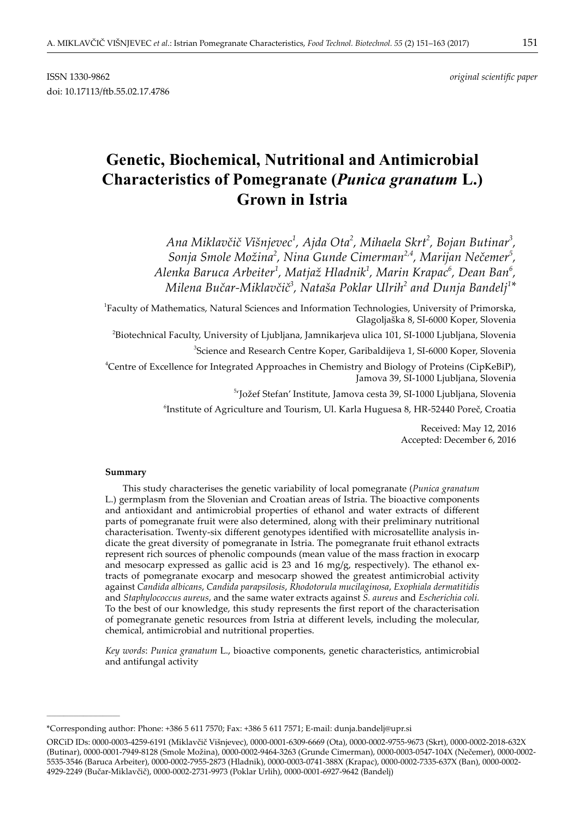doi: 10.17113/ftb.55.02.17.4786

# **Genetic, Biochemical, Nutritional and Antimicrobial Characteristics of Pomegranate (***Punica granatum* **L.) Grown in Istria**

*Ana Miklavčič Višnjevec<sup>1</sup> , Ajda Ota<sup>2</sup> , Mihaela Skrt<sup>2</sup> , Bojan Butinar<sup>3</sup> , Sonja Smole Možina<sup>2</sup> , Nina Gunde Cimerman2,4, Marijan Nečemer5 , Alenka Baruca Arbeiter<sup>1</sup> , Matjaž Hladnik<sup>1</sup> , Marin Krapac<sup>6</sup> , Dean Ban<sup>6</sup> ,*  $M$ ilena Bučar-Miklavčič $^3$ , Nataša Poklar Ulrih $^2$  and Dunja Bandelj $^{1*}$ 

1 Faculty of Mathematics, Natural Sciences and Information Technologies, University of Primorska, Glagoljaška 8, SI-6000 Koper, Slovenia

2 Biotechnical Faculty, University of Ljubljana, Jamnikarjeva ulica 101, SI-1000 Ljubljana, Slovenia

3 Science and Research Centre Koper, Garibaldijeva 1, SI-6000 Koper, Slovenia

4 Centre of Excellence for Integrated Approaches in Chemistry and Biology of Proteins (CipKeBiP), Jamova 39, SI-1000 Ljubljana, Slovenia

5 'Jožef Stefan' Institute, Jamova cesta 39, SI-1000 Ljubljana, Slovenia

6 Institute of Agriculture and Tourism, Ul. Karla Huguesa 8, HR-52440 Poreč, Croatia

Received: May 12, 2016 Accepted: December 6, 2016

#### **Summary**

**\_\_\_\_\_\_\_\_\_\_\_\_\_\_\_\_\_\_\_\_\_\_\_\_\_\_\_\_\_\_**

This study characterises the genetic variability of local pomegranate (*Punica granatum* L.) germplasm from the Slovenian and Croatian areas of Istria. The bioactive components and antioxidant and antimicrobial properties of ethanol and water extracts of different parts of pomegranate fruit were also determined, along with their preliminary nutritional characterisation. Twenty-six different genotypes identified with microsatellite analysis indicate the great diversity of pomegranate in Istria. The pomegranate fruit ethanol extracts represent rich sources of phenolic compounds (mean value of the mass fraction in exocarp and mesocarp expressed as gallic acid is 23 and 16 mg/g, respectively). The ethanol extracts of pomegranate exocarp and mesocarp showed the greatest antimicrobial activity against *Candida albicans*, *Candida parapsilosis*, *Rhodotorula mucilaginosa*, *Exophiala dermatitidis*  and *Staphylococcus aureus*, and the same water extracts against *S. aureus* and *Escherichia coli.* To the best of our knowledge, this study represents the first report of the characterisation of pomegranate genetic resources from Istria at different levels, including the molecular, chemical, antimicrobial and nutritional properties.

*Key words*: *Punica granatum* L., bioactive components, genetic characteristics, antimicrobial and antifungal activity

<sup>\*</sup>Corresponding author: Phone: +386 5 611 7570; Fax: +386 5 611 7571; E-mail: dunja.bandelj@upr.si

ORCiD IDs: 0000-0003-4259-6191 (Miklavčič Višnjevec), 0000-0001-6309-6669 (Ota), 0000-0002-9755-9673 (Skrt), 0000-0002-2018-632X (Butinar), 0000-0001-7949-8128 (Smole Možina), 0000-0002-9464-3263 (Grunde Cimerman), 0000-0003-0547-104X (Nečemer), 0000-0002- 5535-3546 (Baruca Arbeiter), 0000-0002-7955-2873 (Hladnik), 0000-0003-0741-388X (Krapac), 0000-0002-7335-637X (Ban), 0000-0002- 4929-2249 (Bučar-Miklavčič), 0000-0002-2731-9973 (Poklar Urlih), 0000-0001-6927-9642 (Bandelj)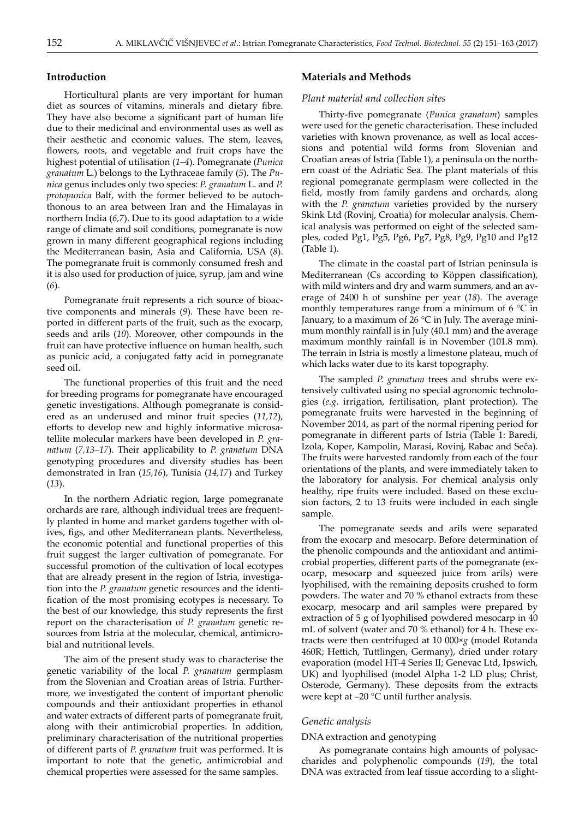# **Introduction**

Horticultural plants are very important for human diet as sources of vitamins, minerals and dietary fibre. They have also become a significant part of human life due to their medicinal and environmental uses as well as their aesthetic and economic values. The stem, leaves, flowers, roots, and vegetable and fruit crops have the highest potential of utilisation (*1–4*). Pomegranate (*Punica granatum* L.) belongs to the Lythraceae family (*5*). The *Punica* genus includes only two species: *P. granatum* L. and *P. protopunica* Balf, with the former believed to be autochthonous to an area between Iran and the Himalayas in northern India (*6,7*). Due to its good adaptation to a wide range of climate and soil conditions, pomegranate is now grown in many different geographical regions including the Mediterranean basin, Asia and California, USA (*8*). The pomegranate fruit is commonly consumed fresh and it is also used for production of juice, syrup, jam and wine (*6*).

Pomegranate fruit represents a rich source of bioactive components and minerals (*9*). These have been reported in different parts of the fruit, such as the exocarp, seeds and arils (*10*). Moreover, other compounds in the fruit can have protective influence on human health, such as punicic acid, a conjugated fatty acid in pomegranate seed oil.

The functional properties of this fruit and the need for breeding programs for pomegranate have encouraged genetic investigations. Although pomegranate is considered as an underused and minor fruit species (*11,12*), efforts to develop new and highly informative microsatellite molecular markers have been developed in *P. granatum* (*7,13–17*). Their applicability to *P. granatum* DNA genotyping procedures and diversity studies has been demonstrated in Iran (*15,16*), Tunisia (*14,17*) and Turkey (*13*).

In the northern Adriatic region, large pomegranate orchards are rare, although individual trees are frequently planted in home and market gardens together with olives, figs, and other Mediterranean plants. Nevertheless, the economic potential and functional properties of this fruit suggest the larger cultivation of pomegranate. For successful promotion of the cultivation of local ecotypes that are already present in the region of Istria, investigation into the *P. granatum* genetic resources and the identification of the most promising ecotypes is necessary. To the best of our knowledge, this study represents the first report on the characterisation of *P. granatum* genetic resources from Istria at the molecular, chemical, antimicrobial and nutritional levels.

The aim of the present study was to characterise the genetic variability of the local *P. granatum* germplasm from the Slovenian and Croatian areas of Istria. Furthermore, we investigated the content of important phenolic compounds and their antioxidant properties in ethanol and water extracts of different parts of pomegranate fruit, along with their antimicrobial properties. In addition, preliminary characterisation of the nutritional properties of different parts of *P. granatum* fruit was performed. It is important to note that the genetic, antimicrobial and chemical properties were assessed for the same samples.

#### **Materials and Methods**

# *Plant material and collection sites*

Thirty-five pomegranate (*Punica granatum*) samples were used for the genetic characterisation. These included varieties with known provenance, as well as local accessions and potential wild forms from Slovenian and Croatian areas of Istria (Table 1), a peninsula on the northern coast of the Adriatic Sea. The plant materials of this regional pomegranate germplasm were collected in the field, mostly from family gardens and orchards, along with the *P. granatum* varieties provided by the nursery Skink Ltd (Rovinj, Croatia) for molecular analysis. Chemical analysis was performed on eight of the selected samples, coded Pg1, Pg5, Pg6, Pg7, Pg8, Pg9, Pg10 and Pg12 (Table 1).

The climate in the coastal part of Istrian peninsula is Mediterranean (Cs according to Köppen classification), with mild winters and dry and warm summers, and an average of 2400 h of sunshine per year (*18*). The average monthly temperatures range from a minimum of  $6^{\circ}$ C in January, to a maximum of 26 °C in July. The average minimum monthly rainfall is in July (40.1 mm) and the average maximum monthly rainfall is in November (101.8 mm). The terrain in Istria is mostly a limestone plateau, much of which lacks water due to its karst topography.

The sampled *P. granatum* trees and shrubs were extensively cultivated using no special agronomic technologies (*e.g*. irrigation, fertilisation, plant protection). The pomegranate fruits were harvested in the beginning of November 2014, as part of the normal ripening period for pomegranate in different parts of Istria (Table 1: Baredi, Izola, Koper, Kampolin, Marasi, Rovinj, Rabac and Seča). The fruits were harvested randomly from each of the four orientations of the plants, and were immediately taken to the laboratory for analysis. For chemical analysis only healthy, ripe fruits were included. Based on these exclusion factors, 2 to 13 fruits were included in each single sample.

The pomegranate seeds and arils were separated from the exocarp and mesocarp. Before determination of the phenolic compounds and the antioxidant and antimicrobial properties, different parts of the pomegranate (exocarp, mesocarp and squeezed juice from arils) were lyophilised, with the remaining deposits crushed to form powders. The water and 70 % ethanol extracts from these exocarp, mesocarp and aril samples were prepared by extraction of 5 g of lyophilised powdered mesocarp in 40 mL of solvent (water and 70 % ethanol) for 4 h. These extracts were then centrifuged at 10 000×*g* (model Rotanda 460R; Hettich, Tuttlingen, Germany), dried under rotary evaporation (model HT-4 Series II; Genevac Ltd, Ipswich, UK) and lyophilised (model Alpha 1-2 LD plus; Christ, Osterode, Germany). These deposits from the extracts were kept at –20 °C until further analysis.

#### *Genetic analysis*

## DNA extraction and genotyping

As pomegranate contains high amounts of polysaccharides and polyphenolic compounds (*19*), the total DNA was extracted from leaf tissue according to a slight-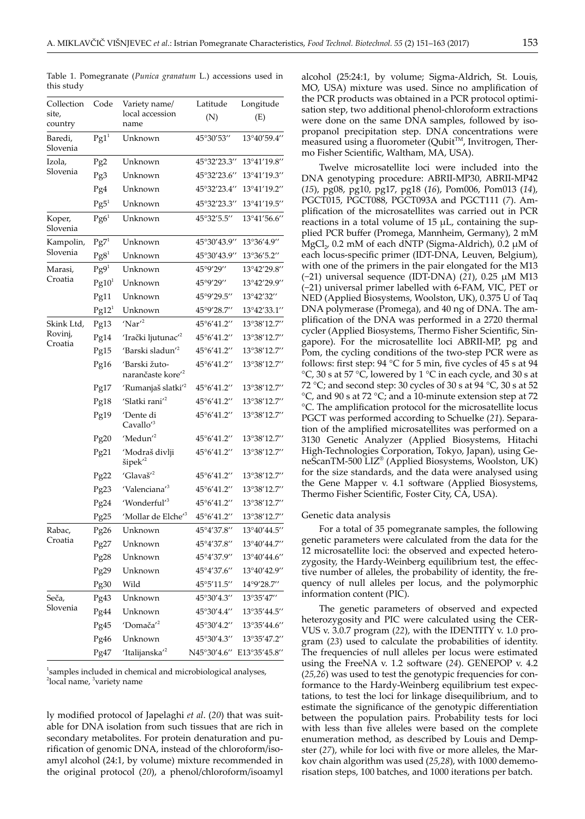| Collection          | Code                    | Variety name/                                 | Latitude                 | Longitude    |  |  |
|---------------------|-------------------------|-----------------------------------------------|--------------------------|--------------|--|--|
| site,<br>country    | local accession<br>name |                                               | (N)                      | (E)          |  |  |
| Baredi,<br>Slovenia | $Pg1^1$                 | Unknown                                       | 45°30'53"                | 13°40'59.4"  |  |  |
| Izola,              | Pg <sub>2</sub>         | Unknown                                       | 45°32'23.3"              | 13°41'19.8"  |  |  |
| Slovenia            | Pg3                     | Unknown                                       | 45°32'23.6"              | 13°41'19.3"  |  |  |
|                     | Pg4                     | Unknown                                       | 45°32'23.4"              | 13°41'19.2"  |  |  |
|                     | $\text{Pg}5^1$          | Unknown                                       | 45°32'23.3"              | 13°41'19.5"  |  |  |
| Koper,<br>Slovenia  | Pg6 <sup>1</sup>        | Unknown                                       | 45°32'5.5"               | 13°41'56.6"  |  |  |
| Kampolin,           | $Pg7^1$                 | Unknown                                       | 45°30'43.9"              | 13°36'4.9"   |  |  |
| Slovenia            | Pg8 <sup>1</sup>        | Unknown                                       | 45°30′43.9′′             | 13°36′5.2′′  |  |  |
| Marasi,             | Pg9 <sup>1</sup>        | Unknown                                       | 45°9'29''                | 13°42'29.8"  |  |  |
| Croatia             | Pg10 <sup>1</sup>       | Unknown                                       | 45°9'29"                 | 13°42'29.9"  |  |  |
|                     | Pg11                    | Unknown                                       | 45°9'29.5"               | 13°42'32"    |  |  |
|                     | Pg12 <sup>1</sup>       | Unknown                                       | 45°9'28.7"               | 13°42'33.1"  |  |  |
| Skink Ltd,          | Pg13                    | $'$ Nar $'$ <sup>2</sup>                      | 45°6'41.2"               | 13°38'12.7"  |  |  |
| Rovinj,             | Pg14                    | 'Irački ljutunac' <sup>2</sup>                | 45°6'41.2"               | 13°38′12.7′′ |  |  |
| Croatia             | Pg15                    | 'Barski sladun' <sup>2</sup>                  | 45°6'41.2"               | 13°38'12.7"  |  |  |
|                     | Pg16                    | 'Barski žuto-<br>narančaste kore <sup>2</sup> | 45°6'41.2"               | 13°38'12.7"  |  |  |
|                     | Pg17                    | 'Rumanjaš slatki' <sup>2</sup>                | 45°6'41.2"               | 13°38'12.7"  |  |  |
|                     | Pg18                    | 'Slatki rani <sup>'2</sup>                    | 45°6'41.2"               | 13°38'12.7"  |  |  |
|                     | Pg19                    | 'Dente di<br>Cavallo' <sup>3</sup>            | 45°6'41.2"               | 13°38'12.7"  |  |  |
|                     | Pg20                    | 'Medun <sup>'2</sup>                          | 45°6'41.2"               | 13°38'12.7"  |  |  |
|                     | Pg21                    | 'Modraš divlji<br>šipek' <sup>2</sup>         | 45°6'41.2"               | 13°38'12.7"  |  |  |
|                     | Pg <sub>22</sub>        | 'Glavaš' <sup>2</sup>                         | 45°6'41.2"               | 13°38'12.7"  |  |  |
|                     | Pg <sub>23</sub>        | 'Valenciana' <sup>3</sup>                     | 45°6'41.2"               | 13°38′12.7′′ |  |  |
|                     | Pg24                    | 'Wonderful' <sup>3</sup>                      | 45°6'41.2"               | 13°38'12.7"  |  |  |
|                     | Pg25                    | 'Mollar de Elche' <sup>3</sup>                | 45°6'41.2"               | 13°38'12.7"  |  |  |
| Rabac,              | Pg26                    | Unknown                                       | 45°4'37.8"               | 13°40'44.5"  |  |  |
| Croatia             | Pg27                    | Unknown                                       | 45°4'37.8"               | 13°40'44.7"  |  |  |
|                     | Pg28                    | Unknown                                       | 45°4'37.9"               | 13°40'44.6"  |  |  |
|                     | Pg29                    | Unknown                                       | 45°4'37.6"               | 13°40'42.9"  |  |  |
|                     | Pg30                    | Wild                                          | $45^{\circ}5'11.5''$     | 14°9'28.7"   |  |  |
| Seča,               | Pg43                    | Unknown                                       | 45°30′4.3″               | 13°35'47"    |  |  |
| Slovenia            | Pg44                    | Unknown                                       | 45°30′4.4′′              | 13°35'44.5"  |  |  |
|                     | Pg45                    | 'Domača' <sup>2</sup>                         | 45°30'4.2"               | 13°35'44.6"  |  |  |
|                     | Pg46                    | Unknown                                       | 45°30'4.3"               | 13°35'47.2"  |  |  |
|                     | $P_{247}$               | 'Italijanska' <sup>2</sup>                    | N45°30'4.6" E13°35'45.8" |              |  |  |

Table 1. Pomegranate (*Punica granatum* L.) accessions used in this study

1 samples included in chemical and microbiological analyses, <sup>2</sup>local name, <sup>3</sup>variety name

ly modified protocol of Japelaghi *et al*. (*20*) that was suitable for DNA isolation from such tissues that are rich in secondary metabolites. For protein denaturation and purification of genomic DNA, instead of the chloroform/isoamyl alcohol (24:1, by volume) mixture recommended in the original protocol (*20*), a phenol/chloroform/isoamyl

alcohol (25:24:1, by volume; Sigma-Aldrich, St. Louis, MO, USA) mixture was used. Since no amplification of the PCR products was obtained in a PCR protocol optimisation step, two additional phenol-chloroform extractions were done on the same DNA samples, followed by isopropanol precipitation step. DNA concentrations were measured using a fluorometer (Qubit™, Invitrogen, Thermo Fisher Scientific, Waltham, MA, USA).

Twelve microsatellite loci were included into the DNA genotyping procedure: ABRII-MP30, ABRII-MP42 (*15*), pg08, pg10, pg17, pg18 (*16*), Pom006, Pom013 (*14*), PGCT015, PGCT088, PGCT093A and PGCT111 (*7*). Amplification of the microsatellites was carried out in PCR reactions in a total volume of 15 μL, containing the supplied PCR buffer (Promega, Mannheim, Germany), 2 mM  $MgCl<sub>2</sub>$ , 0.2 mM of each dNTP (Sigma-Aldrich), 0.2 µM of each locus-specific primer (IDT-DNA, Leuven, Belgium), with one of the primers in the pair elongated for the M13 (−21) universal sequence (IDT-DNA) (*21*), 0.25 μM M13 (−21) universal primer labelled with 6-FAM, VIC, PET or NED (Applied Biosystems, Woolston, UK), 0.375 U of Taq DNA polymerase (Promega), and 40 ng of DNA. The amplification of the DNA was performed in a 2720 thermal cycler (Applied Biosystems, Thermo Fisher Scientific, Singapore). For the microsatellite loci ABRII-MP, pg and Pom, the cycling conditions of the two-step PCR were as follows: first step: 94 °C for 5 min, five cycles of 45 s at 94  $°C$ , 30 s at 57 °C, lowered by 1 °C in each cycle, and 30 s at 72 °C; and second step: 30 cycles of 30 s at 94 °C, 30 s at 52 °C, and 90 s at 72 °C; and a 10-minute extension step at 72 °C. The amplification protocol for the microsatellite locus PGCT was performed according to Schuelke (*21*). Separation of the amplified microsatellites was performed on a 3130 Genetic Analyzer (Applied Biosystems, Hitachi High-Technologies Corporation, Tokyo, Japan), using GeneScanTM-500 LIZ® (Applied Biosystems, Woolston, UK) for the size standards, and the data were analysed using the Gene Mapper v. 4.1 software (Applied Biosystems, Thermo Fisher Scientific, Foster City, CA, USA).

#### Genetic data analysis

For a total of 35 pomegranate samples, the following genetic parameters were calculated from the data for the 12 microsatellite loci: the observed and expected heterozygosity, the Hardy-Weinberg equilibrium test, the effective number of alleles, the probability of identity, the frequency of null alleles per locus, and the polymorphic information content (PIC).

The genetic parameters of observed and expected heterozygosity and PIC were calculated using the CER-VUS v. 3.0.7 program (*22*), with the IDENTITY v. 1.0 program (*23*) used to calculate the probabilities of identity. The frequencies of null alleles per locus were estimated using the FreeNA v. 1.2 software (*24*). GENEPOP v. 4.2 (*25,26*) was used to test the genotypic frequencies for conformance to the Hardy-Weinberg equilibrium test expectations, to test the loci for linkage disequilibrium, and to estimate the significance of the genotypic differentiation between the population pairs. Probability tests for loci with less than five alleles were based on the complete enumeration method, as described by Louis and Dempster (*27*), while for loci with five or more alleles, the Markov chain algorithm was used (*25,28*), with 1000 dememorisation steps, 100 batches, and 1000 iterations per batch.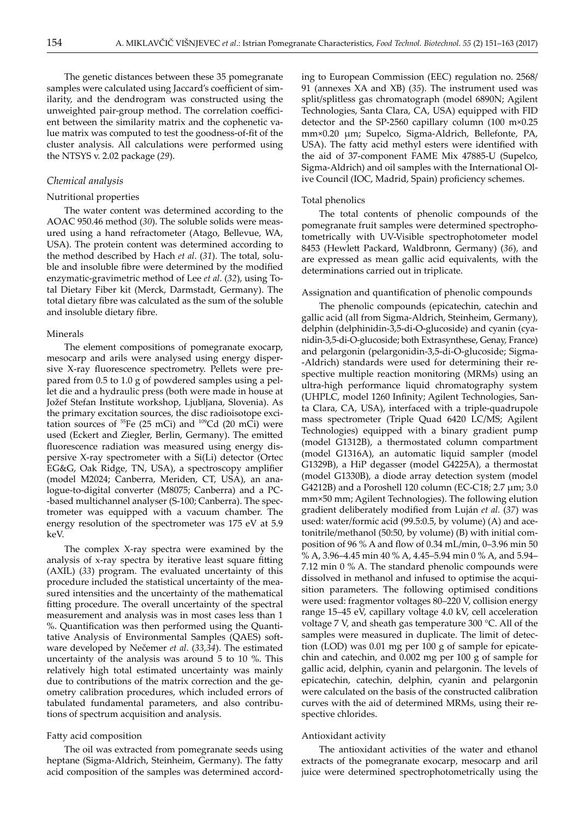The genetic distances between these 35 pomegranate samples were calculated using Jaccard's coefficient of similarity, and the dendrogram was constructed using the unweighted pair-group method. The correlation coefficient between the similarity matrix and the cophenetic value matrix was computed to test the goodness-of-fit of the cluster analysis. All calculations were performed using the NTSYS v. 2.02 package (*29*).

# *Chemical analysis*

# Nutritional properties

The water content was determined according to the AOAC 950.46 method (*30*). The soluble solids were measured using a hand refractometer (Atago, Bellevue, WA, USA). The protein content was determined according to the method described by Hach *et al*. (*31*). The total, soluble and insoluble fibre were determined by the modified enzymatic-gravimetric method of Lee *et al*. (*32*), using Total Dietary Fiber kit (Merck, Darmstadt, Germany). The total dietary fibre was calculated as the sum of the soluble and insoluble dietary fibre.

#### Minerals

The element compositions of pomegranate exocarp, mesocarp and arils were analysed using energy dispersive X-ray fluorescence spectrometry. Pellets were prepared from 0.5 to 1.0 g of powdered samples using a pellet die and a hydraulic press (both were made in house at Jožef Stefan Institute workshop, Ljubljana, Slovenia). As the primary excitation sources, the disc radioisotope excitation sources of  $^{55}$ Fe (25 mCi) and  $^{109}$ Cd (20 mCi) were used (Eckert and Ziegler, Berlin, Germany). The emitted fluorescence radiation was measured using energy dispersive X-ray spectrometer with a Si(Li) detector (Ortec EG&G, Oak Ridge, TN, USA), a spectroscopy amplifier (model M2024; Canberra, Meriden, CT, USA), an analogue-to-digital converter (M8075; Canberra) and a PC- -based multichannel analyser (S-100; Canberra). The spectrometer was equipped with a vacuum chamber. The energy resolution of the spectrometer was 175 eV at 5.9 keV.

The complex X-ray spectra were examined by the analysis of x-ray spectra by iterative least square fitting (AXIL) (*33*) program. The evaluated uncertainty of this procedure included the statistical uncertainty of the measured intensities and the uncertainty of the mathematical fitting procedure. The overall uncertainty of the spectral measurement and analysis was in most cases less than 1 %. Quantification was then performed using the Quantitative Analysis of Environmental Samples (QAES) software developed by Nečemer *et al*. (*33,34*). The estimated uncertainty of the analysis was around 5 to 10 %. This relatively high total estimated uncertainty was mainly due to contributions of the matrix correction and the geometry calibration procedures, which included errors of tabulated fundamental parameters, and also contributions of spectrum acquisition and analysis.

## Fatty acid composition

The oil was extracted from pomegranate seeds using heptane (Sigma-Aldrich, Steinheim, Germany). The fatty acid composition of the samples was determined according to European Commission (EEC) regulation no. 2568/ 91 (annexes XA and XB) (*35*). The instrument used was split/splitless gas chromatograph (model 6890N; Agilent Technologies, Santa Clara, CA, USA) equipped with FID detector and the SP-2560 capillary column (100 m×0.25 mm×0.20 µm; Supelco, Sigma-Aldrich, Bellefonte, PA, USA). The fatty acid methyl esters were identified with the aid of 37-component FAME Mix 47885-U (Supelco, Sigma-Aldrich) and oil samples with the International Olive Council (IOC, Madrid, Spain) proficiency schemes.

#### Total phenolics

The total contents of phenolic compounds of the pomegranate fruit samples were determined spectrophotometrically with UV-Visible spectrophotometer model 8453 (Hewlett Packard, Waldbronn, Germany) (*36*), and are expressed as mean gallic acid equivalents, with the determinations carried out in triplicate.

## Assignation and quantification of phenolic compounds

The phenolic compounds (epicatechin, catechin and gallic acid (all from Sigma-Aldrich, Steinheim, Germany), delphin (delphinidin-3,5-di-O-glucoside) and cyanin (cyanidin-3,5-di-O-glucoside; both Extrasynthese, Genay, France) and pelargonin (pelargonidin-3,5-di-O-glucoside; Sigma- -Aldrich) standards were used for determining their respective multiple reaction monitoring (MRMs) using an ultra-high performance liquid chromatography system (UHPLC, model 1260 Infinity; Agilent Technologies, Santa Clara, CA, USA), interfaced with a triple-quadrupole mass spectrometer (Triple Quad 6420 LC/MS; Agilent Technologies) equipped with a binary gradient pump (model G1312B), a thermostated column compartment (model G1316A), an automatic liquid sampler (model G1329B), a HiP degasser (model G4225A), a thermostat (model G1330B), a diode array detection system (model G4212B) and a Poroshell 120 column (EC-C18; 2.7  $\mu$ m; 3.0 mm×50 mm; Agilent Technologies). The following elution gradient deliberately modified from Luján *et al.* (*37*) was used: water/formic acid (99.5:0.5, by volume) (A) and acetonitrile/methanol (50:50, by volume) (B) with initial composition of 96 % A and flow of 0.34 mL/min, 0–3.96 min 50 % A, 3.96–4.45 min 40 % A, 4.45–5.94 min 0 % A, and 5.94– 7.12 min 0 % A. The standard phenolic compounds were dissolved in methanol and infused to optimise the acquisition parameters. The following optimised conditions were used: fragmentor voltages 80–220 V, collision energy range 15–45 eV, capillary voltage 4.0 kV, cell acceleration voltage 7 V, and sheath gas temperature 300 °C. All of the samples were measured in duplicate. The limit of detection (LOD) was 0.01 mg per 100 g of sample for epicatechin and catechin, and 0.002 mg per 100 g of sample for gallic acid, delphin, cyanin and pelargonin. The levels of epicatechin, catechin, delphin, cyanin and pelargonin were calculated on the basis of the constructed calibration curves with the aid of determined MRMs, using their respective chlorides.

### Antioxidant activity

The antioxidant activities of the water and ethanol extracts of the pomegranate exocarp, mesocarp and aril juice were determined spectrophotometrically using the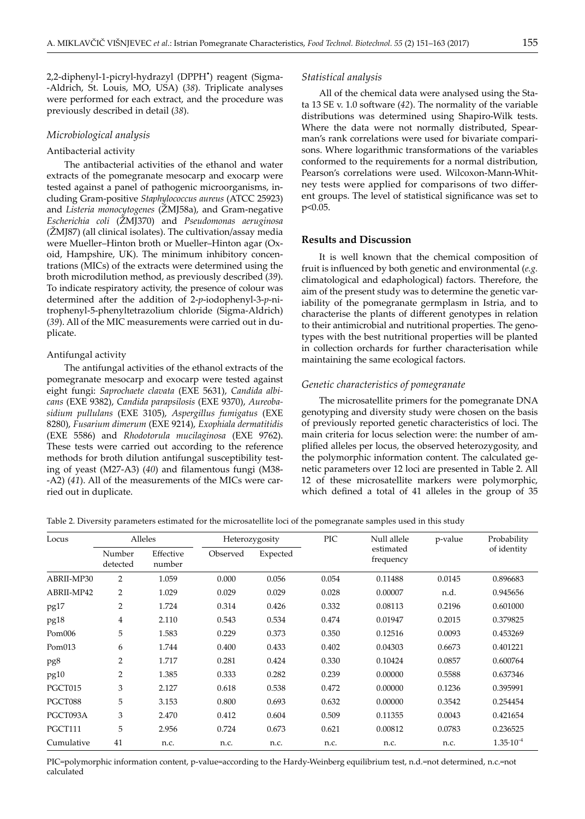2,2-diphenyl-1-picryl-hydrazyl (DPPH• ) reagent (Sigma- -Aldrich, St. Louis, MO, USA) (*38*). Triplicate analyses were performed for each extract, and the procedure was previously described in detail (*38*).

#### *Microbiological analysis*

## Antibacterial activity

The antibacterial activities of the ethanol and water extracts of the pomegranate mesocarp and exocarp were tested against a panel of pathogenic microorganisms, including Gram-positive *Staphylococcus aureus* (ATCC 25923) and *Listeria monocytogenes* (ŽMJ58a), and Gram-negative *Escherichia coli* (ŽMJ370) and *Pseudomonas aeruginosa*  (ŽMJ87) (all clinical isolates). The cultivation/assay media were Mueller–Hinton broth or Mueller–Hinton agar (Oxoid, Hampshire, UK). The minimum inhibitory concentrations (MICs) of the extracts were determined using the broth microdilution method, as previously described (*39*). To indicate respiratory activity, the presence of colour was determined after the addition of 2-*p*-iodophenyl-3-*p*-nitrophenyl-5-phenyltetrazolium chloride (Sigma-Aldrich) (*39*). All of the MIC measurements were carried out in duplicate.

#### Antifungal activity

The antifungal activities of the ethanol extracts of the pomegranate mesocarp and exocarp were tested against eight fungi: *Saprochaete clavata* (EXE 5631), *Candida albicans* (EXE 9382), *Candida parapsilosis* (EXE 9370), *Aureobasidium pullulans* (EXE 3105), *Aspergillus fumigatus* (EXE 8280), *Fusarium dimerum* (EXE 9214), *Exophiala dermatitidis* (EXE 5586) and *Rhodotorula mucilaginosa* (EXE 9762). These tests were carried out according to the reference methods for broth dilution antifungal susceptibility testing of yeast (M27-A3) (*40*) and filamentous fungi (M38- -A2) (*41*). All of the measurements of the MICs were carried out in duplicate.

#### *Statistical analysis*

All of the chemical data were analysed using the Stata 13 SE v. 1.0 software (*42*). The normality of the variable distributions was determined using Shapiro-Wilk tests. Where the data were not normally distributed, Spearman's rank correlations were used for bivariate comparisons. Where logarithmic transformations of the variables conformed to the requirements for a normal distribution, Pearson's correlations were used. Wilcoxon-Mann-Whitney tests were applied for comparisons of two different groups. The level of statistical significance was set to p<0.05.

#### **Results and Discussion**

It is well known that the chemical composition of fruit is influenced by both genetic and environmental (*e.g.* climatological and edaphological) factors. Therefore, the aim of the present study was to determine the genetic variability of the pomegranate germplasm in Istria, and to characterise the plants of different genotypes in relation to their antimicrobial and nutritional properties. The genotypes with the best nutritional properties will be planted in collection orchards for further characterisation while maintaining the same ecological factors.

#### *Genetic characteristics of pomegranate*

The microsatellite primers for the pomegranate DNA genotyping and diversity study were chosen on the basis of previously reported genetic characteristics of loci. The main criteria for locus selection were: the number of amplified alleles per locus, the observed heterozygosity, and the polymorphic information content. The calculated genetic parameters over 12 loci are presented in Table 2. All 12 of these microsatellite markers were polymorphic, which defined a total of 41 alleles in the group of 35

Table 2. Diversity parameters estimated for the microsatellite loci of the pomegranate samples used in this study

| Locus              | Alleles            |                     | Heterozygosity |          | <b>PIC</b> | Null allele            | p-value | Probability          |
|--------------------|--------------------|---------------------|----------------|----------|------------|------------------------|---------|----------------------|
|                    | Number<br>detected | Effective<br>number | Observed       | Expected |            | estimated<br>frequency |         | of identity          |
| ABRII-MP30         | $\overline{2}$     | 1.059               | 0.000          | 0.056    | 0.054      | 0.11488                | 0.0145  | 0.896683             |
| ABRII-MP42         | 2                  | 1.029               | 0.029          | 0.029    | 0.028      | 0.00007                | n.d.    | 0.945656             |
| pg17               | 2                  | 1.724               | 0.314          | 0.426    | 0.332      | 0.08113                | 0.2196  | 0.601000             |
| pg18               | 4                  | 2.110               | 0.543          | 0.534    | 0.474      | 0.01947                | 0.2015  | 0.379825             |
| Pom006             | 5                  | 1.583               | 0.229          | 0.373    | 0.350      | 0.12516                | 0.0093  | 0.453269             |
| Pom <sub>013</sub> | 6                  | 1.744               | 0.400          | 0.433    | 0.402      | 0.04303                | 0.6673  | 0.401221             |
| pg8                | $\overline{2}$     | 1.717               | 0.281          | 0.424    | 0.330      | 0.10424                | 0.0857  | 0.600764             |
| pg10               | $\overline{2}$     | 1.385               | 0.333          | 0.282    | 0.239      | 0.00000                | 0.5588  | 0.637346             |
| PGCT015            | 3                  | 2.127               | 0.618          | 0.538    | 0.472      | 0.00000                | 0.1236  | 0.395991             |
| PGCT088            | 5                  | 3.153               | 0.800          | 0.693    | 0.632      | 0.00000                | 0.3542  | 0.254454             |
| PGCT093A           | 3                  | 2.470               | 0.412          | 0.604    | 0.509      | 0.11355                | 0.0043  | 0.421654             |
| PGCT111            | 5                  | 2.956               | 0.724          | 0.673    | 0.621      | 0.00812                | 0.0783  | 0.236525             |
| Cumulative         | 41                 | n.c.                | n.c.           | n.c.     | n.c.       | n.c.                   | n.c.    | $1.35 \cdot 10^{-4}$ |

PIC=polymorphic information content, p-value=according to the Hardy-Weinberg equilibrium test, n.d.=not determined, n.c.=not calculated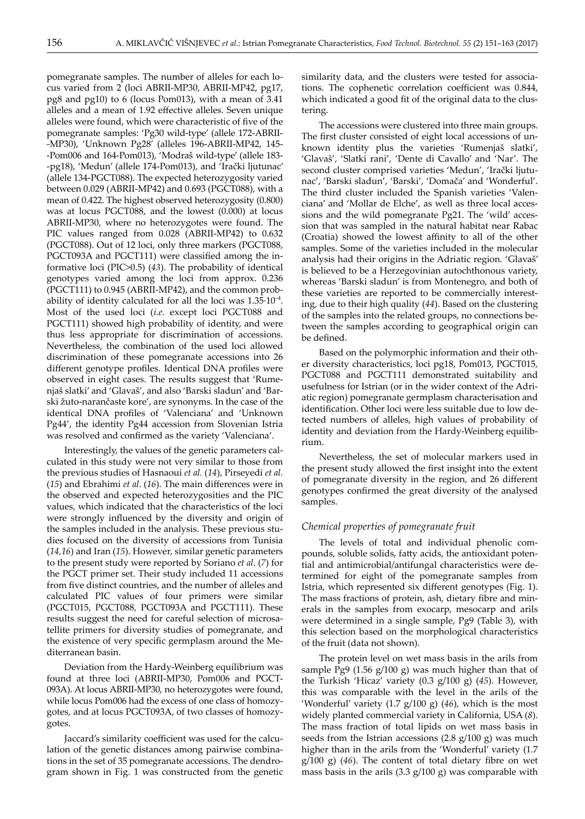pomegranate samples. The number of alleles for each locus varied from 2 (loci ABRII-MP30, ABRII-MP42, pg17, pg8 and pg10) to 6 (locus Pom013), with a mean of 3.41 alleles and a mean of 1.92 effective alleles. Seven unique alleles were found, which were characteristic of five of the pomegranate samples: 'Pg30 wild-type' (allele 172-ABRII- -MP30), 'Unknown Pg28' (alleles 196-ABRII-MP42, 145- -Pom006 and 164-Pom013), 'Modraš wild-type' (allele 183- -pg18), 'Medun' (allele 174-Pom013), and 'Irački ljutunac' (allele 134-PGCT088). The expected heterozygosity varied between 0.029 (ABRII-MP42) and 0.693 (PGCT088), with a mean of 0.422. The highest observed heterozygosity (0.800) was at locus PGCT088, and the lowest (0.000) at locus ABRII-MP30, where no heterozygotes were found. The PIC values ranged from 0.028 (ABRII-MP42) to 0.632 (PGCT088). Out of 12 loci, only three markers (PGCT088, PGCT093A and PGCT111) were classified among the informative loci (PIC>0.5) (*43*). The probability of identical genotypes varied among the loci from approx. 0.236 (PGCT111) to 0.945 (ABRII-MP42), and the common probability of identity calculated for all the loci was  $1.35 \cdot 10^{-4}$ . Most of the used loci (*i.e.* except loci PGCT088 and PGCT111) showed high probability of identity, and were thus less appropriate for discrimination of accessions. Nevertheless, the combination of the used loci allowed discrimination of these pomegranate accessions into 26 different genotype profiles. Identical DNA profiles were observed in eight cases. The results suggest that 'Rumenjaš slatki' and 'Glavaš', and also 'Barski sladun' and 'Barski žuto-narančaste kore', are synonyms. In the case of the identical DNA profiles of 'Valenciana' and 'Unknown Pg44', the identity Pg44 accession from Slovenian Istria was resolved and confirmed as the variety 'Valenciana'.

Interestingly, the values of the genetic parameters calculated in this study were not very similar to those from the previous studies of Hasnaoui *et al.* (*14*), Pirseyedi *et al.* (*15*) and Ebrahimi *et al*. (*16*). The main differences were in the observed and expected heterozygosities and the PIC values, which indicated that the characteristics of the loci were strongly influenced by the diversity and origin of the samples included in the analysis. These previous studies focused on the diversity of accessions from Tunisia (*14,16*) and Iran (*15*). However, similar genetic parameters to the present study were reported by Soriano *et al*. (*7*) for the PGCT primer set. Their study included 11 accessions from five distinct countries, and the number of alleles and calculated PIC values of four primers were similar (PGCT015, PGCT088, PGCT093A and PGCT111). These results suggest the need for careful selection of microsatellite primers for diversity studies of pomegranate, and the existence of very specific germplasm around the Mediterranean basin.

Deviation from the Hardy-Weinberg equilibrium was found at three loci (ABRII-MP30, Pom006 and PGCT-093A). At locus ABRII-MP30, no heterozygotes were found, while locus Pom006 had the excess of one class of homozygotes, and at locus PGCT093A, of two classes of homozygotes.

Jaccard's similarity coefficient was used for the calculation of the genetic distances among pairwise combinations in the set of 35 pomegranate accessions. The dendrogram shown in Fig. 1 was constructed from the genetic similarity data, and the clusters were tested for associations. The cophenetic correlation coefficient was 0.844, which indicated a good fit of the original data to the clustering.

The accessions were clustered into three main groups. The first cluster consisted of eight local accessions of unknown identity plus the varieties 'Rumenjaš slatki', 'Glavaš', 'Slatki rani', 'Dente di Cavallo' and 'Nar'. The second cluster comprised varieties 'Medun', 'Irački ljutunac', 'Barski sladun', 'Barski', 'Domača' and 'Wonderful'. The third cluster included the Spanish varieties 'Valenciana' and 'Mollar de Elche', as well as three local accessions and the wild pomegranate Pg21. The 'wild' accession that was sampled in the natural habitat near Rabac (Croatia) showed the lowest affinity to all of the other samples. Some of the varieties included in the molecular analysis had their origins in the Adriatic region. 'Glavaš' is believed to be a Herzegovinian autochthonous variety, whereas 'Barski sladun' is from Montenegro, and both of these varieties are reported to be commercially interesting, due to their high quality (*44*). Based on the clustering of the samples into the related groups, no connections between the samples according to geographical origin can be defined.

Based on the polymorphic information and their other diversity characteristics, loci pg18, Pom013, PGCT015, PGCT088 and PGCT111 demonstrated suitability and usefulness for Istrian (or in the wider context of the Adriatic region) pomegranate germplasm characterisation and identification. Other loci were less suitable due to low detected numbers of alleles, high values of probability of identity and deviation from the Hardy-Weinberg equilibrium.

Nevertheless, the set of molecular markers used in the present study allowed the first insight into the extent of pomegranate diversity in the region, and 26 different genotypes confirmed the great diversity of the analysed samples.

# *Chemical properties of pomegranate fruit*

The levels of total and individual phenolic compounds, soluble solids, fatty acids, the antioxidant potential and antimicrobial/antifungal characteristics were determined for eight of the pomegranate samples from Istria, which represented six different genotypes (Fig. 1). The mass fractions of protein, ash, dietary fibre and minerals in the samples from exocarp, mesocarp and arils were determined in a single sample, Pg9 (Table 3), with this selection based on the morphological characteristics of the fruit (data not shown).

The protein level on wet mass basis in the arils from sample Pg9 (1.56 g/100 g) was much higher than that of the Turkish 'Hicaz' variety (0.3 g/100 g) (*45*). However, this was comparable with the level in the arils of the 'Wonderful' variety (1.7 g/100 g) (*46*), which is the most widely planted commercial variety in California, USA (*8*). The mass fraction of total lipids on wet mass basis in seeds from the Istrian accessions (2.8 g/100 g) was much higher than in the arils from the 'Wonderful' variety (1.7 g/100 g) (*46*). The content of total dietary fibre on wet mass basis in the arils (3.3 g/100 g) was comparable with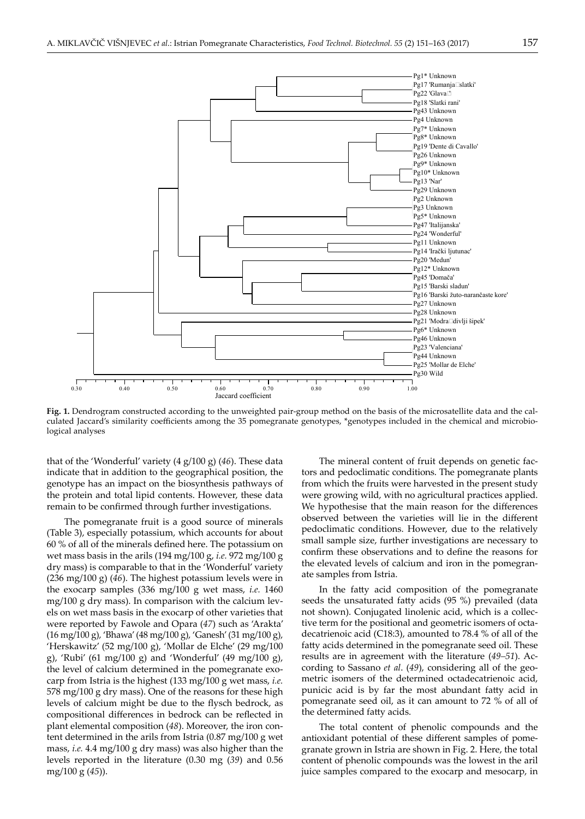

**Fig. 1.** Dendrogram constructed according to the unweighted pair-group method on the basis of the microsatellite data and the calculated Jaccard's similarity coefficients among the 35 pomegranate genotypes, \*genotypes included in the chemical and microbiological analyses

that of the 'Wonderful' variety (4 g/100 g) (*46*). These data indicate that in addition to the geographical position, the genotype has an impact on the biosynthesis pathways of the protein and total lipid contents. However, these data remain to be confirmed through further investigations.

The pomegranate fruit is a good source of minerals (Table 3), especially potassium, which accounts for about 60 % of all of the minerals defined here. The potassium on wet mass basis in the arils (194 mg/100 g, *i.e.* 972 mg/100 g dry mass) is comparable to that in the 'Wonderful' variety (236 mg/100 g) (*46*). The highest potassium levels were in the exocarp samples (336 mg/100 g wet mass, *i.e.* 1460 mg/100 g dry mass). In comparison with the calcium levels on wet mass basis in the exocarp of other varieties that were reported by Fawole and Opara (*47*) such as 'Arakta' (16 mg/100 g), 'Bhawa' (48 mg/100 g), 'Ganesh' (31 mg/100 g), 'Herskawitz' (52 mg/100 g), 'Mollar de Elche' (29 mg/100 g), 'Rubi' (61 mg/100 g) and 'Wonderful' (49 mg/100 g), the level of calcium determined in the pomegranate exocarp from Istria is the highest (133 mg/100 g wet mass, *i.e.* 578 mg/100 g dry mass). One of the reasons for these high levels of calcium might be due to the flysch bedrock, as compositional differences in bedrock can be reflected in plant elemental composition (*48*). Moreover, the iron content determined in the arils from Istria (0.87 mg/100 g wet mass, *i.e.* 4.4 mg/100 g dry mass) was also higher than the levels reported in the literature (0.30 mg (*39*) and 0.56 mg/100 g (*45*)).

The mineral content of fruit depends on genetic factors and pedoclimatic conditions. The pomegranate plants from which the fruits were harvested in the present study were growing wild, with no agricultural practices applied. We hypothesise that the main reason for the differences observed between the varieties will lie in the different pedoclimatic conditions. However, due to the relatively small sample size, further investigations are necessary to confirm these observations and to define the reasons for the elevated levels of calcium and iron in the pomegranate samples from Istria.

In the fatty acid composition of the pomegranate seeds the unsaturated fatty acids (95 %) prevailed (data not shown). Conjugated linolenic acid, which is a collective term for the positional and geometric isomers of octadecatrienoic acid (C18:3), amounted to 78.4 % of all of the fatty acids determined in the pomegranate seed oil. These results are in agreement with the literature (*49–51*). According to Sassano *et al*. (*49*), considering all of the geometric isomers of the determined octadecatrienoic acid, punicic acid is by far the most abundant fatty acid in pomegranate seed oil, as it can amount to 72 % of all of the determined fatty acids.

The total content of phenolic compounds and the antioxidant potential of these different samples of pomegranate grown in Istria are shown in Fig. 2. Here, the total content of phenolic compounds was the lowest in the aril juice samples compared to the exocarp and mesocarp, in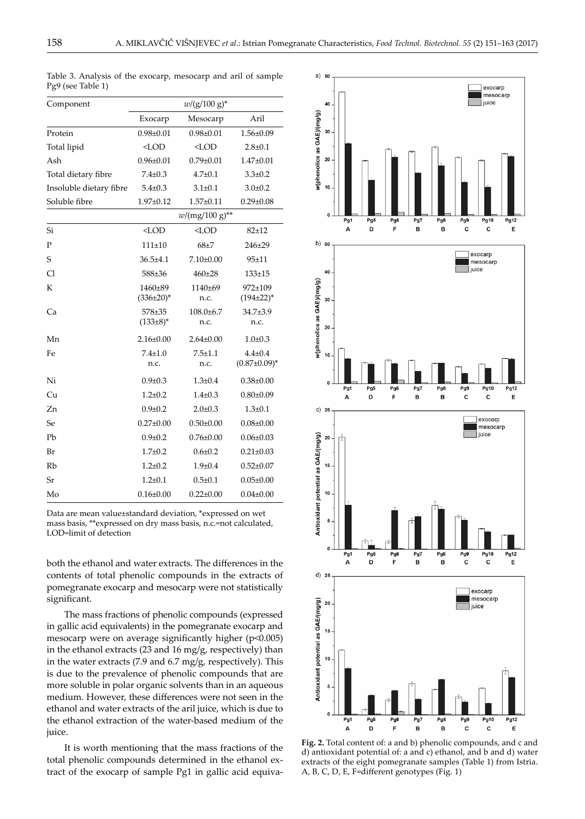| Component               |                           | $w/(g/100 g)^*$       |                                      |
|-------------------------|---------------------------|-----------------------|--------------------------------------|
|                         | Exocarp                   | Mesocarp              | Aril                                 |
| Protein                 | $0.98 + 0.01$             | $0.98 + 0.01$         | 1.56±0.09                            |
| Total lipid             | $<$ LOD                   | $<$ LOD               | $2.8 + 0.1$                          |
| Ash                     | $0.96 \pm 0.01$           | $0.79 \pm 0.01$       | $1.47 \pm 0.01$                      |
| Total dietary fibre     | $7.4 \pm 0.3$             | $4.7 \pm 0.1$         | $3.3 \pm 0.2$                        |
| Insoluble dietary fibre | $5.4 \pm 0.3$             | $3.1 \pm 0.1$         | $3.0 \pm 0.2$                        |
| Soluble fibre           | $1.97 \pm 0.12$           | $1.57 + 0.11$         | $0.29 \pm 0.08$                      |
|                         |                           | $w/(mg/100 g)^{**}$   |                                      |
| Si                      | $<$ LOD                   | $<$ LOD               | $82 + 12$                            |
| P                       | $111 + 10$                | $68 + 7$              | 246±29                               |
| S                       | $36.5 + 4.1$              | $7.10\pm0.00$         | $95 + 11$                            |
| C1                      | 588±36                    | $460 + 28$            | $133 + 15$                           |
| К                       | 1460±89<br>$(336\pm20)^*$ | 1140±69<br>n.c.       | 972±109<br>$(194\pm22)^*$            |
| Ca                      | 578±35<br>$(133\pm8)^*$   | $108.0 + 6.7$<br>n.c. | 34.7±3.9<br>n.c.                     |
| Mn                      | $2.16 \pm 0.00$           | $2.64 \pm 0.00$       | $1.0\pm0.3$                          |
| Fe                      | $7.4 + 1.0$<br>n.c.       | $7.5 + 1.1$<br>n.c.   | $4.4 \pm 0.4$<br>$(0.87 \pm 0.09)^*$ |
| Ni                      | $0.9 \pm 0.3$             | $1.3 \pm 0.4$         | $0.38 \pm 0.00$                      |
| Сu                      | $1.2 \pm 0.2$             | $1.4 \pm 0.3$         | $0.80 \pm 0.09$                      |
| Zn                      | $0.9 \pm 0.2$             | $2.0 \pm 0.3$         | $1.3 \pm 0.1$                        |
| Se                      | $0.27 \pm 0.00$           | $0.50 \pm 0.00$       | $0.08 \pm 0.00$                      |
| Pb                      | $0.9 + 0.2$               | $0.76 \pm 0.00$       | $0.06 \pm 0.03$                      |
| Br                      | $1.7 + 0.2$               | $0.6 + 0.2$           | $0.21 \pm 0.03$                      |
| Rb                      | $1.2 + 0.2$               | $1.9 + 0.4$           | $0.52 \pm 0.07$                      |
| Sr                      | $1.2 + 0.1$               | $0.5 \pm 0.1$         | $0.05 \pm 0.00$                      |
| Mo                      | $0.16 \pm 0.00$           | $0.22 \pm 0.00$       | $0.04 \pm 0.00$                      |

Table 3. Analysis of the exocarp, mesocarp and aril of sample Pg9 (see Table 1)

Data are mean value±standard deviation, \*expressed on wet mass basis, \*\*expressed on dry mass basis, n.c.=not calculated, LOD=limit of detection

both the ethanol and water extracts. The differences in the contents of total phenolic compounds in the extracts of pomegranate exocarp and mesocarp were not statistically significant.

The mass fractions of phenolic compounds (expressed in gallic acid equivalents) in the pomegranate exocarp and mesocarp were on average significantly higher (p<0.005) in the ethanol extracts (23 and 16 mg/g, respectively) than in the water extracts (7.9 and 6.7 mg/g, respectively). This is due to the prevalence of phenolic compounds that are more soluble in polar organic solvents than in an aqueous medium. However, these differences were not seen in the ethanol and water extracts of the aril juice, which is due to the ethanol extraction of the water-based medium of the juice.

It is worth mentioning that the mass fractions of the total phenolic compounds determined in the ethanol extract of the exocarp of sample Pg1 in gallic acid equiva-



**Fig. 2.** Total content of: a and b) phenolic compounds, and c and d) antioxidant potential of: a and c) ethanol, and b and d) water extracts of the eight pomegranate samples (Table 1) from Istria. A, B, C, D, E, F=different genotypes (Fig. 1)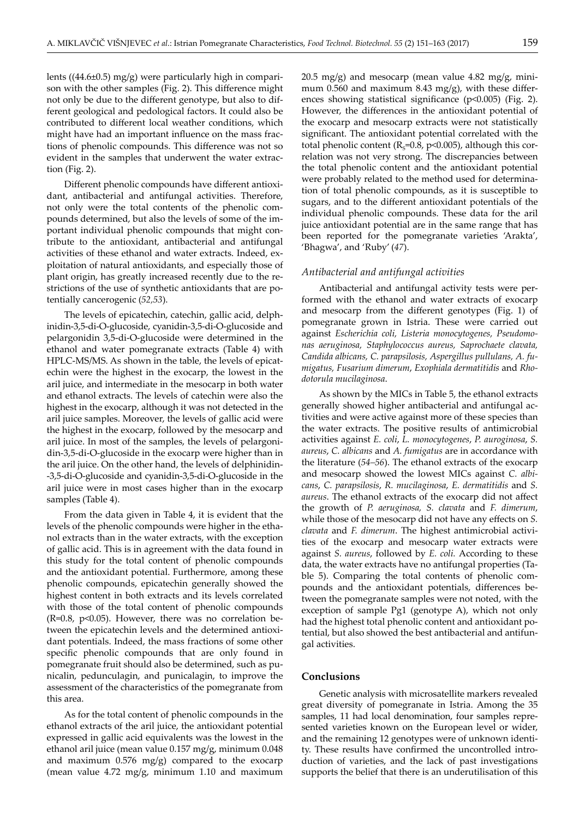lents ((44.6±0.5) mg/g) were particularly high in comparison with the other samples (Fig. 2). This difference might not only be due to the different genotype, but also to different geological and pedological factors. It could also be contributed to different local weather conditions, which might have had an important influence on the mass fractions of phenolic compounds. This difference was not so evident in the samples that underwent the water extraction (Fig. 2).

Different phenolic compounds have different antioxidant, antibacterial and antifungal activities. Therefore, not only were the total contents of the phenolic compounds determined, but also the levels of some of the important individual phenolic compounds that might contribute to the antioxidant, antibacterial and antifungal activities of these ethanol and water extracts. Indeed, exploitation of natural antioxidants, and especially those of plant origin, has greatly increased recently due to the restrictions of the use of synthetic antioxidants that are potentially cancerogenic (*52,53*).

The levels of epicatechin, catechin, gallic acid, delphinidin-3,5-di-O-glucoside, cyanidin-3,5-di-O-glucoside and pelargonidin 3,5-di-O-glucoside were determined in the ethanol and water pomegranate extracts (Table 4) with HPLC-MS/MS. As shown in the table, the levels of epicatechin were the highest in the exocarp, the lowest in the aril juice, and intermediate in the mesocarp in both water and ethanol extracts. The levels of catechin were also the highest in the exocarp, although it was not detected in the aril juice samples. Moreover, the levels of gallic acid were the highest in the exocarp, followed by the mesocarp and aril juice. In most of the samples, the levels of pelargonidin-3,5-di-O-glucoside in the exocarp were higher than in the aril juice. On the other hand, the levels of delphinidin- -3,5-di-O-glucoside and cyanidin-3,5-di-O-glucoside in the aril juice were in most cases higher than in the exocarp samples (Table 4).

From the data given in Table 4, it is evident that the levels of the phenolic compounds were higher in the ethanol extracts than in the water extracts, with the exception of gallic acid. This is in agreement with the data found in this study for the total content of phenolic compounds and the antioxidant potential. Furthermore, among these phenolic compounds, epicatechin generally showed the highest content in both extracts and its levels correlated with those of the total content of phenolic compounds  $(R=0.8, p<0.05)$ . However, there was no correlation between the epicatechin levels and the determined antioxidant potentials. Indeed, the mass fractions of some other specific phenolic compounds that are only found in pomegranate fruit should also be determined, such as punicalin, pedunculagin, and punicalagin, to improve the assessment of the characteristics of the pomegranate from this area.

As for the total content of phenolic compounds in the ethanol extracts of the aril juice, the antioxidant potential expressed in gallic acid equivalents was the lowest in the ethanol aril juice (mean value 0.157 mg/g, minimum 0.048 and maximum 0.576 mg/g) compared to the exocarp (mean value 4.72 mg/g, minimum 1.10 and maximum

 $20.5 \text{ mg/g}$  and mesocarp (mean value 4.82 mg/g, minimum 0.560 and maximum 8.43 mg/g), with these differences showing statistical significance (p<0.005) (Fig. 2). However, the differences in the antioxidant potential of the exocarp and mesocarp extracts were not statistically significant. The antioxidant potential correlated with the total phenolic content ( $R_s$ =0.8, p<0.005), although this correlation was not very strong. The discrepancies between the total phenolic content and the antioxidant potential were probably related to the method used for determination of total phenolic compounds, as it is susceptible to sugars, and to the different antioxidant potentials of the individual phenolic compounds. These data for the aril juice antioxidant potential are in the same range that has been reported for the pomegranate varieties 'Arakta', 'Bhagwa', and 'Ruby' (*47*).

#### *Antibacterial and antifungal activities*

Antibacterial and antifungal activity tests were performed with the ethanol and water extracts of exocarp and mesocarp from the different genotypes (Fig. 1) of pomegranate grown in Istria. These were carried out against *Escherichia coli, Listeria monocytogenes, Pseudomonas aeruginosa, Staphylococcus aureus, Saprochaete clavata, Candida albicans, C. parapsilosis, Aspergillus pullulans, A. fumigatus, Fusarium dimerum*, *Exophiala dermatitidis* and *Rhodotorula mucilaginosa*.

As shown by the MICs in Table 5, the ethanol extracts generally showed higher antibacterial and antifungal activities and were active against more of these species than the water extracts. The positive results of antimicrobial activities against *E. coli*, *L. monocytogenes*, *P. auroginosa*, *S. aureus*, *C. albicans* and *A. fumigatus* are in accordance with the literature (*54–56*). The ethanol extracts of the exocarp and mesocarp showed the lowest MICs against *C. albicans*, *C. parapsilosis*, *R. mucilaginosa*, *E. dermatitidis* and *S. aureus*. The ethanol extracts of the exocarp did not affect the growth of *P. aeruginosa, S. clavata* and *F. dimerum*, while those of the mesocarp did not have any effects on *S. clavata* and *F. dimerum*. The highest antimicrobial activities of the exocarp and mesocarp water extracts were against *S. aureus*, followed by *E. coli.* According to these data, the water extracts have no antifungal properties (Table 5). Comparing the total contents of phenolic compounds and the antioxidant potentials, differences between the pomegranate samples were not noted, with the exception of sample Pg1 (genotype A), which not only had the highest total phenolic content and antioxidant potential, but also showed the best antibacterial and antifungal activities.

#### **Conclusions**

Genetic analysis with microsatellite markers revealed great diversity of pomegranate in Istria. Among the 35 samples, 11 had local denomination, four samples represented varieties known on the European level or wider, and the remaining 12 genotypes were of unknown identity. These results have confirmed the uncontrolled introduction of varieties, and the lack of past investigations supports the belief that there is an underutilisation of this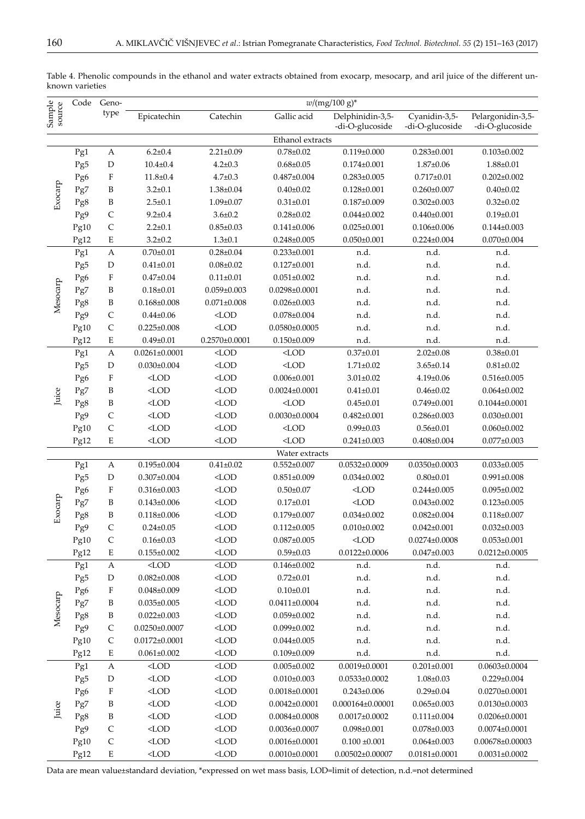|                  | Code | Geno-                             | $w/(mg/100 g)^*$    |                   |                     |                                          |                     |                       |  |  |  |  |
|------------------|------|-----------------------------------|---------------------|-------------------|---------------------|------------------------------------------|---------------------|-----------------------|--|--|--|--|
| Sample<br>source |      | type                              | Epicatechin         | Catechin          | Gallic acid         | Delphinidin-3,5-                         | Cyanidin-3,5-       | Pelargonidin-3,5-     |  |  |  |  |
|                  |      |                                   |                     |                   |                     | -di-O-glucoside                          | -di-O-glucoside     | -di-O-glucoside       |  |  |  |  |
|                  |      |                                   |                     |                   | Ethanol extracts    |                                          |                     |                       |  |  |  |  |
|                  | Pg1  | $6.2{\pm}0.4$<br>$\boldsymbol{A}$ |                     | $2.21 \pm 0.09$   | $0.78 + 0.02$       | $0.119 \pm 0.000$                        | $0.283 \pm 0.001$   | $0.103 \pm 0.002$     |  |  |  |  |
| Exocarp          | Pg5  | $\mathbf D$                       | $10.4 \pm 0.4$      | $4.2 \pm 0.3$     | $0.68 \pm 0.05$     | $0.174 \pm 0.001$                        | $1.87 + 0.06$       | $1.88 \pm 0.01$       |  |  |  |  |
|                  | Pg6  | $\boldsymbol{\mathrm{F}}$         | $11.8 \pm 0.4$      | $4.7 + 0.3$       | $0.487 \pm 0.004$   | $0.283 \pm 0.005$                        | $0.717 + 0.01$      | $0.202 \pm 0.002$     |  |  |  |  |
|                  | Pg7  | B                                 | $3.2 \pm 0.1$       | 1.38±0.04         | $0.40 \pm 0.02$     | $0.128 \pm 0.001$                        | $0.260 \pm 0.007$   | $0.40 \pm 0.02$       |  |  |  |  |
|                  | Pg8  | B                                 | $2.5 \pm 0.1$       | $1.09 \pm 0.07$   | $0.31 \pm 0.01$     | $0.187 + 0.009$                          | $0.302 \pm 0.003$   | $0.32 \pm 0.02$       |  |  |  |  |
|                  | Pg9  | $\mathsf{C}$                      | $9.2 \pm 0.4$       | $3.6 \pm 0.2$     | $0.28 \pm 0.02$     | $0.044 \pm 0.002$                        | $0.440 \pm 0.001$   | $0.19 \pm 0.01$       |  |  |  |  |
|                  | Pg10 | $\mathsf{C}$                      | $2.2 \pm 0.1$       | $0.85 \pm 0.03$   | $0.141 \pm 0.006$   | $0.025 \pm 0.001$                        | $0.106 \pm 0.006$   | $0.144 \pm 0.003$     |  |  |  |  |
|                  | Pg12 | E                                 | $3.2 \pm 0.2$       | $1.3 + 0.1$       | $0.248 \pm 0.005$   | $0.050 \pm 0.001$                        | $0.224 \pm 0.004$   | $0.070 \pm 0.004$     |  |  |  |  |
|                  | Pg1  | $\boldsymbol{A}$                  | $0.70 \pm 0.01$     | $0.28 \pm 0.04$   | $0.233 \pm 0.001$   | n.d.                                     | n.d.                | n.d.                  |  |  |  |  |
|                  | Pg5  | $\mathbf D$                       | $0.41 \pm 0.01$     | $0.08 \pm 0.02$   | $0.127 \pm 0.001$   | n.d.                                     | n.d.                | n.d.                  |  |  |  |  |
|                  | Pg6  | $\mathbf F$                       | $0.47 \pm 0.04$     | $0.11 \pm 0.01$   | $0.051 \pm 0.002$   | n.d.                                     | n.d.                | n.d.                  |  |  |  |  |
| Mesocarp         | Pg7  | B                                 | $0.18 + 0.01$       | $0.059 \pm 0.003$ | $0.0298 \pm 0.0001$ | n.d.                                     | n.d.                | n.d.                  |  |  |  |  |
|                  | Pg8  | B                                 | $0.168 \pm 0.008$   | $0.071 \pm 0.008$ | $0.026 \pm 0.003$   | n.d.                                     | n.d.                | n.d.                  |  |  |  |  |
|                  | Pg9  | $\mathsf{C}$                      | $0.44 \pm 0.06$     | $<$ LOD           | $0.078 \pm 0.004$   | n.d.                                     | n.d.                | n.d.                  |  |  |  |  |
|                  | Pg10 | $\mathsf{C}$                      | $0.225 \pm 0.008$   | $<$ LOD           | $0.0580\pm0.0005$   | n.d.                                     | n.d.                | n.d.                  |  |  |  |  |
|                  | Pg12 | E                                 | $0.49 \pm 0.01$     | $0.2570\pm0.0001$ | $0.150 \pm 0.009$   | n.d.                                     | n.d.                | n.d.                  |  |  |  |  |
|                  | Pg1  | $\boldsymbol{A}$                  | $0.0261 \pm 0.0001$ | $<$ LOD           | $<$ LOD             | $0.37 \pm 0.01$                          | $2.02 \pm 0.08$     | $0.38 + 0.01$         |  |  |  |  |
|                  | Pg5  | D                                 | $0.030 \pm 0.004$   | $<$ LOD           | $<$ LOD             | $1.71 \pm 0.02$                          | $3.65 \pm 0.14$     | $0.81 \pm 0.02$       |  |  |  |  |
|                  | Pg6  | $\rm F$                           | $<$ LOD             | $<$ LOD           | $0.006 \pm 0.001$   | $3.01 \pm 0.02$                          | $4.19 \pm 0.06$     | $0.516 \pm 0.005$     |  |  |  |  |
|                  | Pg7  | B                                 | $<$ LOD             | $<$ LOD           | $0.0024 \pm 0.0001$ | $0.41 \pm 0.01$                          | $0.46 \pm 0.02$     | $0.064 \pm 0.002$     |  |  |  |  |
| Juice            | Pg8  | B                                 | $<$ LOD             | $<$ LOD           | $<$ LOD             | $0.45 \pm 0.01$                          | $0.749 \pm 0.001$   | $0.1044\pm0.0001$     |  |  |  |  |
|                  | Pg9  | $\mathsf{C}$                      | $<$ LOD             | $<$ LOD           | $0.0030 \pm 0.0004$ | $0.482 \pm 0.001$                        | $0.286 \pm 0.003$   | $0.030 \pm 0.001$     |  |  |  |  |
|                  | Pg10 | $\mathsf{C}$                      | $<$ LOD             | $<$ LOD           | $<$ LOD             | $0.99 \pm 0.03$                          | $0.56 \pm 0.01$     | $0.060 \pm 0.002$     |  |  |  |  |
|                  | Pg12 | E                                 | $<$ LOD             | $<$ LOD           | $<$ LOD             | $0.241 \pm 0.003$                        | $0.408 \pm 0.004$   | $0.077 \pm 0.003$     |  |  |  |  |
|                  |      |                                   |                     |                   | Water extracts      |                                          |                     |                       |  |  |  |  |
|                  | Pg1  | $\boldsymbol{A}$                  | $0.195 \pm 0.004$   | $0.41 \pm 0.02$   | $0.552 \pm 0.007$   | $0.0532 \pm 0.0009$                      | $0.0350\pm0.0003$   | $0.033 \pm 0.005$     |  |  |  |  |
|                  | Pg5  | D                                 | $0.307 \pm 0.004$   | $<$ LOD           | $0.851 \pm 0.009$   | $0.034 \pm 0.002$                        | $0.80 \pm 0.01$     | $0.991 \pm 0.008$     |  |  |  |  |
| Exocarp          | Pg6  | $\rm F$                           | $0.316 \pm 0.003$   | $<$ LOD           | $0.50 \pm 0.07$     | $<$ LOD                                  | $0.244 \pm 0.005$   | $0.095 \pm 0.002$     |  |  |  |  |
|                  | Pg7  | B                                 | $0.143 \pm 0.006$   | $<$ LOD           | $0.17 \pm 0.01$     | $<$ LOD                                  | $0.043 \pm 0.002$   | $0.123 \pm 0.005$     |  |  |  |  |
|                  | Pg8  | B                                 | $0.118 \pm 0.006$   | $<$ LOD           | $0.179 \pm 0.007$   | $0.034 \pm 0.002$                        | $0.082 \pm 0.004$   | $0.118 \pm 0.007$     |  |  |  |  |
|                  | Pg9  | $\mathsf{C}$                      | $0.24 \pm 0.05$     | $<$ LOD           | $0.112 \pm 0.005$   | $0.010\pm0.002$                          | $0.042 \pm 0.001$   | $0.032 \pm 0.003$     |  |  |  |  |
|                  | Pg10 | $\mathsf{C}$                      | $0.16 \pm 0.03$     | $<$ LOD           | $0.087 + 0.005$     | $<$ LOD                                  | $0.0274 \pm 0.0008$ | $0.053 \pm 0.001$     |  |  |  |  |
|                  | Pg12 | E                                 | $0.155 \pm 0.002$   | $<$ LOD           | $0.59 \pm 0.03$     | $0.0122 \pm 0.0006$<br>$0.047 \pm 0.003$ |                     | $0.0212 \pm 0.0005$   |  |  |  |  |
|                  | Pg1  | A                                 | $<$ LOD             | $<$ LOD           | $0.146 \pm 0.002$   | n.d.                                     | n.d.                | n.d.                  |  |  |  |  |
|                  | Pg5  | D                                 | $0.082 \pm 0.008$   | $<$ LOD           | $0.72 \pm 0.01$     | n.d.                                     | n.d.                | n.d.                  |  |  |  |  |
|                  | Pg6  | $\boldsymbol{\mathrm{F}}$         | $0.048 \pm 0.009$   | $<$ LOD           | $0.10 \pm 0.01$     | n.d.                                     | n.d.                | n.d.                  |  |  |  |  |
| Mesocarp         | Pg7  | B                                 | $0.035 \pm 0.005$   | $<$ LOD           | $0.0411 \pm 0.0004$ | n.d.                                     | n.d.                | n.d.                  |  |  |  |  |
|                  | Pg8  | B                                 | $0.022 \pm 0.003$   | $<$ LOD           | $0.059 \pm 0.002$   | n.d.                                     | n.d.                | n.d.                  |  |  |  |  |
|                  | Pg9  | $\mathsf C$                       | $0.0250 \pm 0.0007$ | $<$ LOD           | $0.099 \pm 0.002$   | n.d.                                     | n.d.                | n.d.                  |  |  |  |  |
|                  | Pg10 | $\mathsf C$                       | $0.0172 \pm 0.0001$ | $<$ LOD           | $0.044 \pm 0.005$   | n.d.                                     | n.d.                | n.d.                  |  |  |  |  |
|                  | Pg12 | E                                 | $0.061 \pm 0.002$   | $<$ LOD           | $0.109 \pm 0.009$   | n.d.                                     | n.d.                | n.d.                  |  |  |  |  |
|                  | Pg1  | $\boldsymbol{A}$                  | $<$ LOD             | $<$ LOD           | $0.005 \pm 0.002$   | $0.0019 \pm 0.0001$                      | $0.201 \pm 0.001$   | $0.0603 \pm 0.0004$   |  |  |  |  |
|                  | Pg5  | $\mathbf D$                       | $<$ LOD             | $<$ LOD           | $0.010 \pm 0.003$   | $0.0533\pm0.0002$                        | $1.08 \pm 0.03$     | $0.229 \pm 0.004$     |  |  |  |  |
|                  | Pg6  | $\boldsymbol{\mathrm{F}}$         | $<$ LOD             | $<$ LOD           | $0.0018 \pm 0.0001$ | $0.243 \pm 0.006$                        | $0.29 \pm 0.04$     | $0.0270 \pm 0.0001$   |  |  |  |  |
|                  | Pg7  | B                                 | $<$ LOD             | $<$ LOD           | $0.0042 \pm 0.0001$ | $0.000164\pm0.00001$                     | $0.065 \pm 0.003$   | $0.0130\pm0.0003$     |  |  |  |  |
| Juice            | Pg8  | B                                 | $<$ LOD             | $<$ LOD           | $0.0084 \pm 0.0008$ | $0.0017 \pm 0.0002$                      | $0.111 \pm 0.004$   | $0.0206 \pm 0.0001$   |  |  |  |  |
|                  | Pg9  | $\mathsf{C}$                      | $<$ LOD             | $<$ LOD           | $0.0036 \pm 0.0007$ | $0.098 \pm 0.001$                        | $0.078 \pm 0.003$   | $0.0074 \pm 0.0001$   |  |  |  |  |
|                  | Pg10 | $\mathsf{C}$                      | $<$ LOD             | $<$ LOD           | $0.0016 \pm 0.0001$ | $0.100 \pm 0.001$                        | $0.064 \pm 0.003$   | $0.00678 \pm 0.00003$ |  |  |  |  |
|                  | Pg12 | E                                 | $<$ LOD             | $<$ LOD           | $0.0010\pm0.0001$   | $0.00502\pm0.00007$                      | $0.0181 \pm 0.0001$ | $0.0031 \pm 0.0002$   |  |  |  |  |
|                  |      |                                   |                     |                   |                     |                                          |                     |                       |  |  |  |  |

Table 4. Phenolic compounds in the ethanol and water extracts obtained from exocarp, mesocarp, and aril juice of the different unknown varieties

Data are mean value±standard deviation, \*expressed on wet mass basis, LOD=limit of detection, n.d.=not determined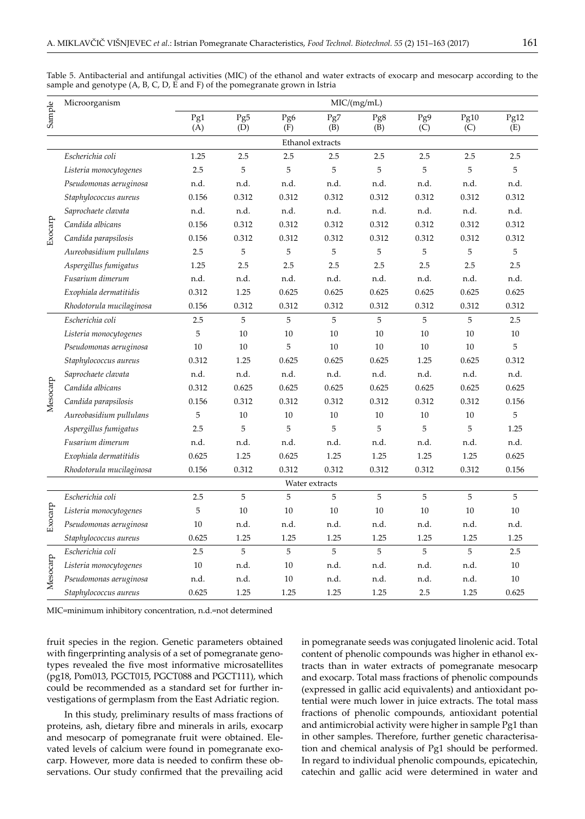|          | Microorganism            | MIC/(mg/mL) |             |            |                  |            |            |             |             |
|----------|--------------------------|-------------|-------------|------------|------------------|------------|------------|-------------|-------------|
| Sample   |                          | Pg1<br>(A)  | Pg5<br>(D)  | Pg6<br>(F) | Pg7<br>(B)       | Pg8<br>(B) | Pg9<br>(C) | Pg10<br>(C) | Pg12<br>(E) |
|          |                          |             |             |            | Ethanol extracts |            |            |             |             |
|          | Escherichia coli         | 1.25        | 2.5         | 2.5        | 2.5              | 2.5        | 2.5        | 2.5         | 2.5         |
|          | Listeria monocytogenes   | 2.5         | 5           | 5          | 5                | 5          | 5          | 5           | 5           |
|          | Pseudomonas aeruginosa   | n.d.        | n.d.        | n.d.       | n.d.             | n.d.       | n.d.       | n.d.        | n.d.        |
|          | Staphylococcus aureus    | 0.156       | 0.312       | 0.312      | 0.312            | 0.312      | 0.312      | 0.312       | 0.312       |
|          | Saprochaete clavata      | n.d.        | n.d.        | n.d.       | n.d.             | n.d.       | n.d.       | n.d.        | n.d.        |
| Exocarp  | Candida albicans         | 0.156       | 0.312       | 0.312      | 0.312            | 0.312      | 0.312      | 0.312       | 0.312       |
|          | Candida parapsilosis     | 0.156       | 0.312       | 0.312      | 0.312            | 0.312      | 0.312      | 0.312       | 0.312       |
|          | Aureobasidium pullulans  | 2.5         | 5           | 5          | 5                | 5          | 5          | 5           | 5           |
|          | Aspergillus fumigatus    | 1.25        | 2.5         | 2.5        | 2.5              | 2.5        | 2.5        | 2.5         | 2.5         |
|          | Fusarium dimerum         | n.d.        | n.d.        | n.d.       | n.d.             | n.d.       | n.d.       | n.d.        | n.d.        |
|          | Exophiala dermatitidis   | 0.312       | 1.25        | 0.625      | 0.625            | 0.625      | 0.625      | 0.625       | 0.625       |
|          | Rhodotorula mucilaginosa | 0.156       | 0.312       | 0.312      | 0.312            | 0.312      | 0.312      | 0.312       | 0.312       |
|          | Escherichia coli         | 2.5         | 5           | 5          | 5                | 5          | 5          | 5           | 2.5         |
|          | Listeria monocytogenes   | 5           | 10          | 10         | 10               | 10         | 10         | 10          | 10          |
|          | Pseudomonas aeruginosa   | 10          | 10          | 5          | 10               | 10         | 10         | 10          | 5           |
|          | Staphylococcus aureus    | 0.312       | 1.25        | 0.625      | 0.625            | 0.625      | 1.25       | 0.625       | 0.312       |
|          | Saprochaete clavata      | n.d.        | n.d.        | n.d.       | n.d.             | n.d.       | n.d.       | n.d.        | n.d.        |
|          | Candida albicans         | 0.312       | 0.625       | 0.625      | 0.625            | 0.625      | 0.625      | 0.625       | 0.625       |
| Mesocarp | Candida parapsilosis     | 0.156       | 0.312       | 0.312      | 0.312            | 0.312      | 0.312      | 0.312       | 0.156       |
|          | Aureobasidium pullulans  | 5           | 10          | 10         | 10               | 10         | 10         | 10          | 5           |
|          | Aspergillus fumigatus    | 2.5         | 5           | 5          | 5                | 5          | 5          | 5           | 1.25        |
|          | Fusarium dimerum         | n.d.        | n.d.        | n.d.       | n.d.             | n.d.       | n.d.       | n.d.        | n.d.        |
|          | Exophiala dermatitidis   | 0.625       | 1.25        | 0.625      | 1.25             | 1.25       | 1.25       | 1.25        | 0.625       |
|          | Rhodotorula mucilaginosa | 0.156       | 0.312       | 0.312      | 0.312            | 0.312      | 0.312      | 0.312       | 0.156       |
|          |                          |             |             |            | Water extracts   |            |            |             |             |
|          | Escherichia coli         | 2.5         | $\mathbf 5$ | 5          | 5                | 5          | 5          | 5           | 5           |
| Exocarp  | Listeria monocytogenes   | 5           | 10          | 10         | 10               | 10         | 10         | 10          | 10          |
|          | Pseudomonas aeruginosa   | 10          | n.d.        | n.d.       | n.d.             | n.d.       | n.d.       | n.d.        | n.d.        |
|          | Staphylococcus aureus    | 0.625       | 1.25        | 1.25       | 1.25             | 1.25       | 1.25       | 1.25        | 1.25        |
|          | Escherichia coli         | 2.5         | 5           | 5          | 5                | 5          | 5          | 5           | 2.5         |
|          | Listeria monocytogenes   | 10          | n.d.        | 10         | n.d.             | n.d.       | n.d.       | n.d.        | 10          |
| Mesocarp | Pseudomonas aeruginosa   | n.d.        | n.d.        | 10         | n.d.             | n.d.       | n.d.       | n.d.        | 10          |
|          | Staphylococcus aureus    | 0.625       | 1.25        | 1.25       | 1.25             | 1.25       | 2.5        | 1.25        | 0.625       |

Table 5. Antibacterial and antifungal activities (MIC) of the ethanol and water extracts of exocarp and mesocarp according to the sample and genotype (A, B, C, D, E and F) of the pomegranate grown in Istria

MIC=minimum inhibitory concentration, n.d.=not determined

fruit species in the region. Genetic parameters obtained with fingerprinting analysis of a set of pomegranate genotypes revealed the five most informative microsatellites (pg18, Pom013, PGCT015, PGCT088 and PGCT111), which could be recommended as a standard set for further investigations of germplasm from the East Adriatic region.

In this study, preliminary results of mass fractions of proteins, ash, dietary fibre and minerals in arils, exocarp and mesocarp of pomegranate fruit were obtained. Elevated levels of calcium were found in pomegranate exocarp. However, more data is needed to confirm these observations. Our study confirmed that the prevailing acid in pomegranate seeds was conjugated linolenic acid. Total content of phenolic compounds was higher in ethanol extracts than in water extracts of pomegranate mesocarp and exocarp. Total mass fractions of phenolic compounds (expressed in gallic acid equivalents) and antioxidant potential were much lower in juice extracts. The total mass fractions of phenolic compounds, antioxidant potential and antimicrobial activity were higher in sample Pg1 than in other samples. Therefore, further genetic characterisation and chemical analysis of Pg1 should be performed. In regard to individual phenolic compounds, epicatechin, catechin and gallic acid were determined in water and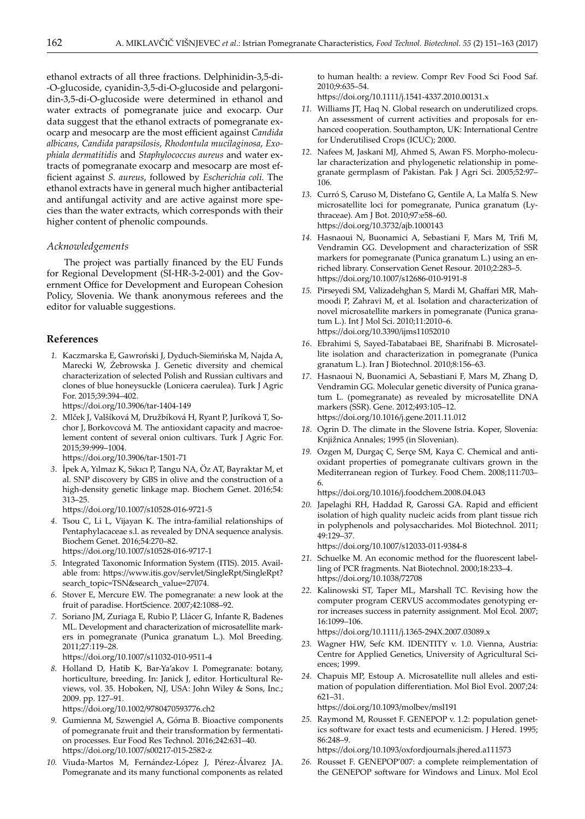ethanol extracts of all three fractions. Delphinidin-3,5-di- -O-glucoside, cyanidin-3,5-di-O-glucoside and pelargonidin-3,5-di-O-glucoside were determined in ethanol and water extracts of pomegranate juice and exocarp. Our data suggest that the ethanol extracts of pomegranate exocarp and mesocarp are the most efficient against *Candida albicans*, *Candida parapsilosis*, *Rhodontula mucilaginosa*, *Exophiala dermatitidis* and *Staphylococcus aureus* and water extracts of pomegranate exocarp and mesocarp are most efficient against *S. aureus*, followed by *Escherichia coli.* The ethanol extracts have in general much higher antibacterial and antifungal activity and are active against more species than the water extracts, which corresponds with their higher content of phenolic compounds.

### *Acknowledgements*

The project was partially financed by the EU Funds for Regional Development (SI-HR-3-2-001) and the Government Office for Development and European Cohesion Policy, Slovenia. We thank anonymous referees and the editor for valuable suggestions.

# **References**

 *1.* Kaczmarska E, Gawroński J, Dyduch-Siemińska M, Najda A, Marecki W, Żebrowska J. Genetic diversity and chemical characterization of selected Polish and Russian cultivars and clones of blue honeysuckle (Lonicera caerulea). Turk J Agric For. 2015;39:394–402.

https://doi.org/10.3906/tar-1404-149

- *2*. Mlček J, Valšíková M, Družbíková H, Ryant P, Juríková T, Sochor J, Borkovcová M*.* The antioxidant capacity and macroelement content of several onion cultivars. Turk J Agric For. 2015;39:999–1004. https://doi.org/10.3906/tar-1501-71
- *3*. İpek A, Yılmaz K, Sıkıcı P, Tangu NA, Öz AT, Bayraktar M, et al. SNP discovery by GBS in olive and the construction of a high-density genetic linkage map. Biochem Genet. 2016;54: 313–25.

https://doi.org/10.1007/s10528-016-9721-5

- *4*. Tsou C, Li L, Vijayan K. The intra-familial relationships of Pentaphylacaceae s.l. as revealed by DNA sequence analysis. Biochem Genet. 2016;54:270–82. https://doi.org/10.1007/s10528-016-9717-1
- *5.* Integrated Taxonomic Information System (ITIS). 2015. Available from: https://www.itis.gov/servlet/SingleRpt/SingleRpt? search\_topic=TSN&search\_value=27074.
- *6.* Stover E, Mercure EW. The pomegranate: a new look at the fruit of paradise. HortScience. 2007;42:1088–92.
- *7.* Soriano JM, Zuriaga E, Rubio P, Llácer G, Infante R, Badenes ML. Development and characterization of microsatellite markers in pomegranate (Punica granatum L.). Mol Breeding. 2011;27:119–28.

https://doi.org/10.1007/s11032-010-9511-4

 *8.* Holland D, Hatib K, Bar-Ya'akov I. Pomegranate: botany, horticulture, breeding. In: Janick J, editor. Horticultural Reviews, vol. 35. Hoboken, NJ, USA: John Wiley & Sons, Inc.; 2009. pp. 127–91.

https://doi.org/10.1002/9780470593776.ch2

- *9.* Gumienna M, Szwengiel A, Górna B. Bioactive components of pomegranate fruit and their transformation by fermentation processes. Eur Food Res Technol. 2016;242:631–40. https://doi.org/10.1007/s00217-015-2582-z
- *10.* Viuda-Martos M, Fernández-López J, Pérez-Álvarez JA. Pomegranate and its many functional components as related

to human health: a review. Compr Rev Food Sci Food Saf. 2010;9:635–54.

https://doi.org/10.1111/j.1541-4337.2010.00131.x

- *11.* Williams JT, Haq N. Global research on underutilized crops. An assessment of current activities and proposals for enhanced cooperation. Southampton, UK: International Centre for Underutilised Crops (ICUC); 2000.
- *12.* Nafees M, Jaskani MJ, Ahmed S, Awan FS. Morpho-molecular characterization and phylogenetic relationship in pomegranate germplasm of Pakistan. Pak J Agri Sci. 2005;52:97– 106.
- *13.* Curró S, Caruso M, Distefano G, Gentile A, La Malfa S. New microsatellite loci for pomegranate, Punica granatum (Lythraceae). Am J Bot. 2010;97:e58–60. https://doi.org/10.3732/ajb.1000143
- *14.* Hasnaoui N, Buonamici A, Sebastiani F, Mars M, Trifi M, Vendramin GG. Development and characterization of SSR markers for pomegranate (Punica granatum L.) using an enriched library. Conservation Genet Resour. 2010;2:283–5. https://doi.org/10.1007/s12686-010-9191-8
- *15.* Pirseyedi SM, Valizadehghan S, Mardi M, Ghaffari MR, Mahmoodi P, Zahravi M, et al. Isolation and characterization of novel microsatellite markers in pomegranate (Punica granatum L.). Int J Mol Sci. 2010;11:2010–6. https://doi.org/10.3390/ijms11052010
- *16*. Ebrahimi S, Sayed-Tabatabaei BE, Sharifnabi B. Microsatellite isolation and characterization in pomegranate (Punica granatum L.). Iran J Biotechnol. 2010;8:156–63.
- *17.* Hasnaoui N, Buonamici A, Sebastiani F, Mars M, Zhang D, Vendramin GG. Molecular genetic diversity of Punica granatum L. (pomegranate) as revealed by microsatellite DNA markers (SSR). Gene. 2012;493:105–12. https://doi.org/10.1016/j.gene.2011.11.012
- *18*. Ogrin D. The climate in the Slovene Istria. Koper, Slovenia: Knjižnica Annales; 1995 (in Slovenian).
- *19.* Ozgen M, Durgaç C, Serçe SM, Kaya C. Chemical and antioxidant properties of pomegranate cultivars grown in the Mediterranean region of Turkey. Food Chem. 2008;111:703– 6.

https://doi.org/10.1016/j.foodchem.2008.04.043

*20.* Japelaghi RH, Haddad R, Garossi GA. Rapid and efficient isolation of high quality nucleic acids from plant tissue rich in polyphenols and polysaccharides. Mol Biotechnol. 2011; 49:129–37.

https://doi.org/10.1007/s12033-011-9384-8

- *21.* Schuelke M. An economic method for the fluorescent labelling of PCR fragments. Nat Biotechnol. 2000;18:233–4. https://doi.org/10.1038/72708
- *22.* Kalinowski ST, Taper ML, Marshall TC. Revising how the computer program CERVUS accommodates genotyping error increases success in paternity assignment. Mol Ecol*.* 2007; 16:1099–106.

https://doi.org/10.1111/j.1365-294X.2007.03089.x

- *23.* Wagner HW, Sefc KM. IDENTITY v. 1.0. Vienna, Austria: Centre for Applied Genetics, University of Agricultural Sciences; 1999.
- *24.* Chapuis MP, Estoup A. Microsatellite null alleles and estimation of population differentiation. Mol Biol Evol. 2007;24: 621–31.

https://doi.org/10.1093/molbev/msl191

*25.* Raymond M, Rousset F. GENEPOP v. 1.2: population genetics software for exact tests and ecumenicism. J Hered. 1995; 86:248–9.

https://doi.org/10.1093/oxfordjournals.jhered.a111573

*26.* Rousset F. GENEPOP'007: a complete reimplementation of the GENEPOP software for Windows and Linux. Mol Ecol